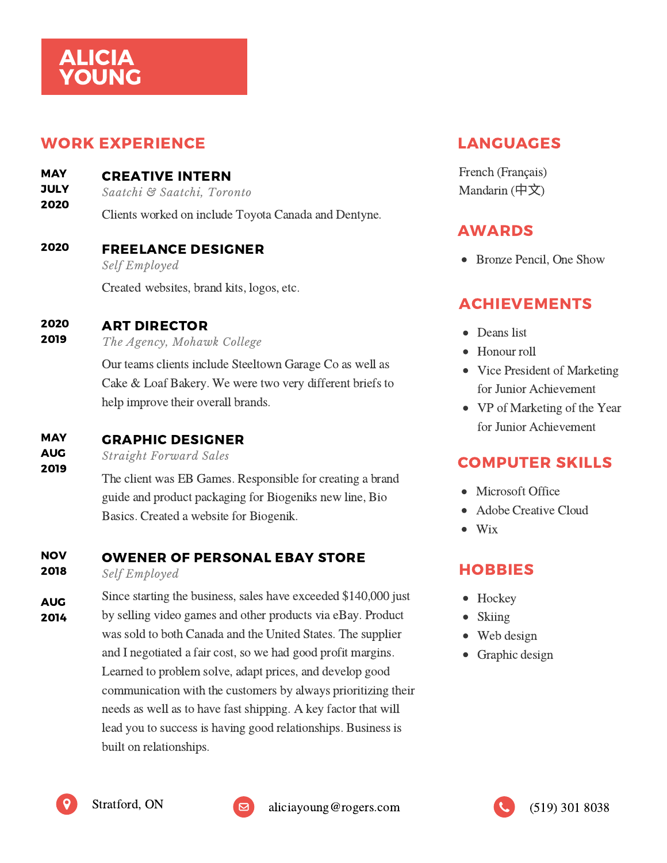# ALICIA YOUNG

### WORK EXPERIENCE

CREATIVE INTERN **MAY** 

*Saatchi & Saatchi, Toronto* **JULY** 

Clients worked on include Toyota Canada and Dentyne. 2020

### FREELANCE DESIGNER 2020

*Self Employed*

Created websites, brand kits, logos, etc.

#### ART DIRECTOR 2020

*The Agency, Mohawk College* 2019

> Our teams clients include Steeltown Garage Co as well as Cake & Loaf Bakery. We were two very different briefs to help improve their overall brands.

### GRAPHIC DESIGNER **MAY**

*Straight Forward Sales* AUG

> The client was EB Games. Responsible for creating a brand guide and product packaging for Biogeniks new line, Bio Basics. Created a website for Biogenik.

### OWENER OF PERSONAL EBAY STORE **NOV**

*Self Employed* 2018

2019

Since starting the business, sales have exceeded \$140,000 just by selling video games and other products via eBay. Product was sold to both Canada and the United States. The supplier and I negotiated a fair cost, so we had good profit margins. Learned to problem solve, adapt prices, and develop good communication with the customers by always prioritizing their needs as well as to have fast shipping. A key factor that will lead you to success is having good relationships. Business is built on relationships. AUG 2014

## LANGUAGES

French (Français) Mandarin (中⽂)

## AWARDS

• Bronze Pencil, One Show

## ACHIEVEMENTS

- Deans list
- Honour roll
- Vice President of Marketing for Junior Achievement
- VP of Marketing of the Year for Junior Achievement

## COMPUTER SKILLS

- Microsoft Office
- Adobe Creative Cloud
- $\bullet$ Wix

## HOBBIES

- Hockey
- Skiing
- Web design
- Graphic design